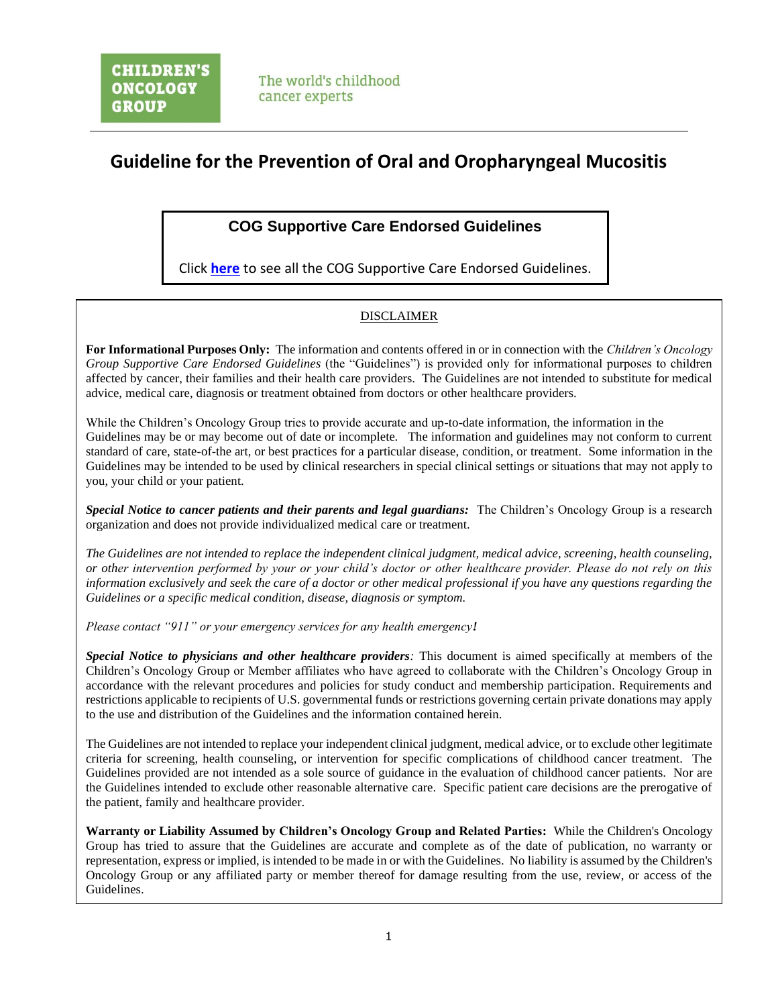# **Guideline for the Prevention of Oral and Oropharyngeal Mucositis**

# **COG Supportive Care Endorsed Guidelines**

Click **[here](https://childrensoncologygroup.org/downloads/COG_SC_Guideline_Document.pdf)** to see all the COG Supportive Care Endorsed Guidelines.

# DISCLAIMER

**For Informational Purposes Only:** The information and contents offered in or in connection with the *Children's Oncology Group Supportive Care Endorsed Guidelines* (the "Guidelines") is provided only for informational purposes to children affected by cancer, their families and their health care providers. The Guidelines are not intended to substitute for medical advice, medical care, diagnosis or treatment obtained from doctors or other healthcare providers.

While the Children's Oncology Group tries to provide accurate and up-to-date information, the information in the Guidelines may be or may become out of date or incomplete. The information and guidelines may not conform to current standard of care, state-of-the art, or best practices for a particular disease, condition, or treatment. Some information in the Guidelines may be intended to be used by clinical researchers in special clinical settings or situations that may not apply to you, your child or your patient.

*Special Notice to cancer patients and their parents and legal guardians:* The Children's Oncology Group is a research organization and does not provide individualized medical care or treatment.

*The Guidelines are not intended to replace the independent clinical judgment, medical advice, screening, health counseling, or other intervention performed by your or your child's doctor or other healthcare provider. Please do not rely on this information exclusively and seek the care of a doctor or other medical professional if you have any questions regarding the Guidelines or a specific medical condition, disease, diagnosis or symptom.* 

*Please contact "911" or your emergency services for any health emergency!* 

*Special Notice to physicians and other healthcare providers:* This document is aimed specifically at members of the Children's Oncology Group or Member affiliates who have agreed to collaborate with the Children's Oncology Group in accordance with the relevant procedures and policies for study conduct and membership participation. Requirements and restrictions applicable to recipients of U.S. governmental funds or restrictions governing certain private donations may apply to the use and distribution of the Guidelines and the information contained herein.

The Guidelines are not intended to replace your independent clinical judgment, medical advice, or to exclude other legitimate criteria for screening, health counseling, or intervention for specific complications of childhood cancer treatment. The Guidelines provided are not intended as a sole source of guidance in the evaluation of childhood cancer patients. Nor are the Guidelines intended to exclude other reasonable alternative care. Specific patient care decisions are the prerogative of the patient, family and healthcare provider.

**Warranty or Liability Assumed by Children's Oncology Group and Related Parties:** While the Children's Oncology Group has tried to assure that the Guidelines are accurate and complete as of the date of publication, no warranty or representation, express or implied, is intended to be made in or with the Guidelines. No liability is assumed by the Children's Oncology Group or any affiliated party or member thereof for damage resulting from the use, review, or access of the Guidelines.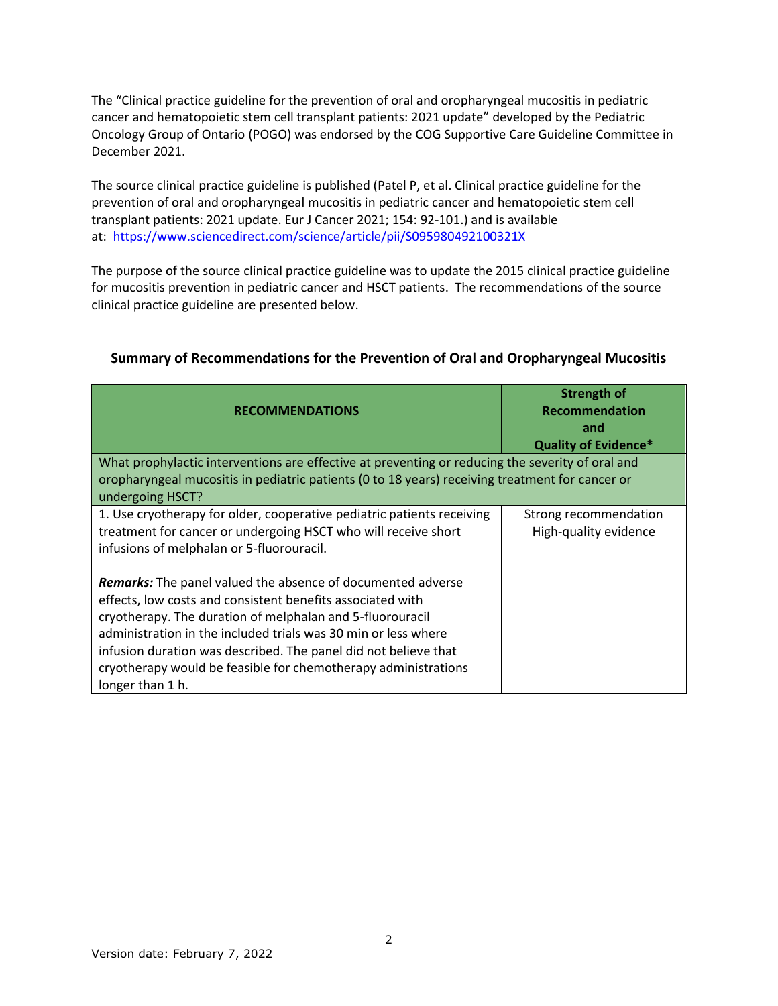The "Clinical practice guideline for the prevention of oral and oropharyngeal mucositis in pediatric cancer and hematopoietic stem cell transplant patients: 2021 update" developed by the Pediatric Oncology Group of Ontario (POGO) was endorsed by the COG Supportive Care Guideline Committee in December 2021.

The source clinical practice guideline is published (Patel P, et al. Clinical practice guideline for the prevention of oral and oropharyngeal mucositis in pediatric cancer and hematopoietic stem cell transplant patients: 2021 update. Eur J Cancer 2021; 154: 92-101.) and is available at: <https://www.sciencedirect.com/science/article/pii/S095980492100321X>

The purpose of the source clinical practice guideline was to update the 2015 clinical practice guideline for mucositis prevention in pediatric cancer and HSCT patients. The recommendations of the source clinical practice guideline are presented below.

| <b>RECOMMENDATIONS</b>                                                                                                                                                                                                                                                                                                                                                                                                   | <b>Strength of</b><br><b>Recommendation</b><br>and<br><b>Quality of Evidence*</b> |
|--------------------------------------------------------------------------------------------------------------------------------------------------------------------------------------------------------------------------------------------------------------------------------------------------------------------------------------------------------------------------------------------------------------------------|-----------------------------------------------------------------------------------|
| What prophylactic interventions are effective at preventing or reducing the severity of oral and<br>oropharyngeal mucositis in pediatric patients (0 to 18 years) receiving treatment for cancer or<br>undergoing HSCT?                                                                                                                                                                                                  |                                                                                   |
| 1. Use cryotherapy for older, cooperative pediatric patients receiving<br>treatment for cancer or undergoing HSCT who will receive short<br>infusions of melphalan or 5-fluorouracil.                                                                                                                                                                                                                                    | Strong recommendation<br>High-quality evidence                                    |
| <b>Remarks:</b> The panel valued the absence of documented adverse<br>effects, low costs and consistent benefits associated with<br>cryotherapy. The duration of melphalan and 5-fluorouracil<br>administration in the included trials was 30 min or less where<br>infusion duration was described. The panel did not believe that<br>cryotherapy would be feasible for chemotherapy administrations<br>longer than 1 h. |                                                                                   |

# **Summary of Recommendations for the Prevention of Oral and Oropharyngeal Mucositis**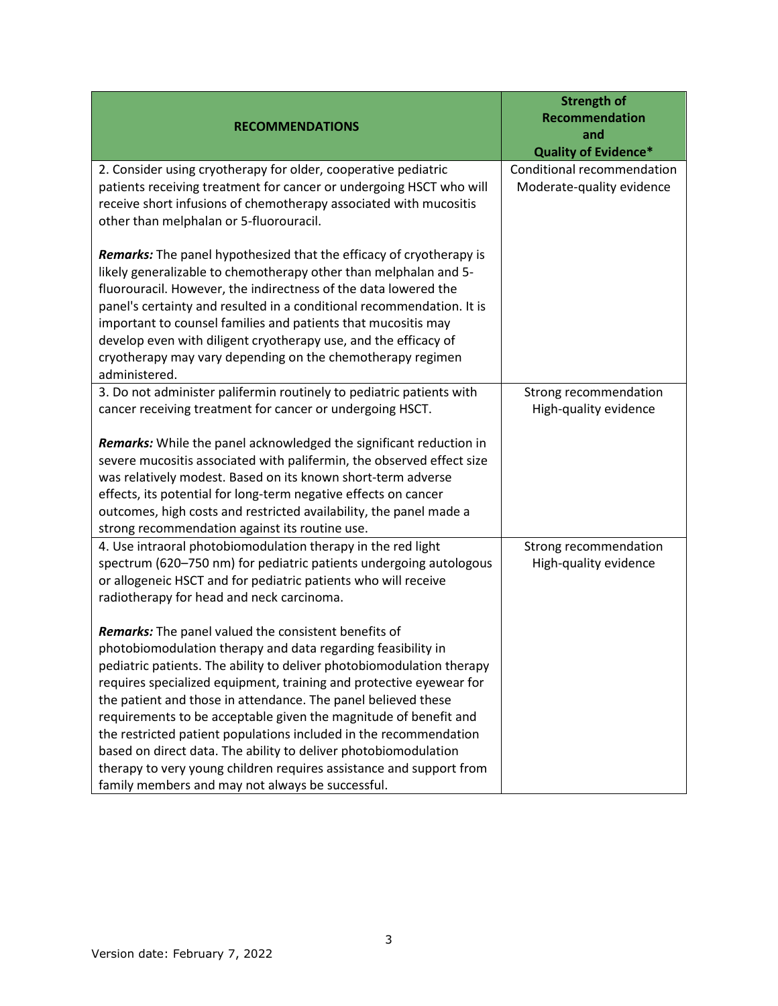| <b>RECOMMENDATIONS</b>                                                                                                                                                                                                                                                                                                                                                                                                                                                                                                                                                                                                                                                              | <b>Strength of</b><br>Recommendation<br>and<br><b>Quality of Evidence*</b> |
|-------------------------------------------------------------------------------------------------------------------------------------------------------------------------------------------------------------------------------------------------------------------------------------------------------------------------------------------------------------------------------------------------------------------------------------------------------------------------------------------------------------------------------------------------------------------------------------------------------------------------------------------------------------------------------------|----------------------------------------------------------------------------|
| 2. Consider using cryotherapy for older, cooperative pediatric<br>patients receiving treatment for cancer or undergoing HSCT who will<br>receive short infusions of chemotherapy associated with mucositis<br>other than melphalan or 5-fluorouracil.                                                                                                                                                                                                                                                                                                                                                                                                                               | Conditional recommendation<br>Moderate-quality evidence                    |
| Remarks: The panel hypothesized that the efficacy of cryotherapy is<br>likely generalizable to chemotherapy other than melphalan and 5-<br>fluorouracil. However, the indirectness of the data lowered the<br>panel's certainty and resulted in a conditional recommendation. It is<br>important to counsel families and patients that mucositis may<br>develop even with diligent cryotherapy use, and the efficacy of<br>cryotherapy may vary depending on the chemotherapy regimen<br>administered.                                                                                                                                                                              |                                                                            |
| 3. Do not administer palifermin routinely to pediatric patients with<br>cancer receiving treatment for cancer or undergoing HSCT.                                                                                                                                                                                                                                                                                                                                                                                                                                                                                                                                                   | Strong recommendation<br>High-quality evidence                             |
| Remarks: While the panel acknowledged the significant reduction in<br>severe mucositis associated with palifermin, the observed effect size<br>was relatively modest. Based on its known short-term adverse<br>effects, its potential for long-term negative effects on cancer<br>outcomes, high costs and restricted availability, the panel made a<br>strong recommendation against its routine use.                                                                                                                                                                                                                                                                              |                                                                            |
| 4. Use intraoral photobiomodulation therapy in the red light<br>spectrum (620-750 nm) for pediatric patients undergoing autologous<br>or allogeneic HSCT and for pediatric patients who will receive<br>radiotherapy for head and neck carcinoma.                                                                                                                                                                                                                                                                                                                                                                                                                                   | Strong recommendation<br>High-quality evidence                             |
| <b>Remarks:</b> The panel valued the consistent benefits of<br>photobiomodulation therapy and data regarding feasibility in<br>pediatric patients. The ability to deliver photobiomodulation therapy<br>requires specialized equipment, training and protective eyewear for<br>the patient and those in attendance. The panel believed these<br>requirements to be acceptable given the magnitude of benefit and<br>the restricted patient populations included in the recommendation<br>based on direct data. The ability to deliver photobiomodulation<br>therapy to very young children requires assistance and support from<br>family members and may not always be successful. |                                                                            |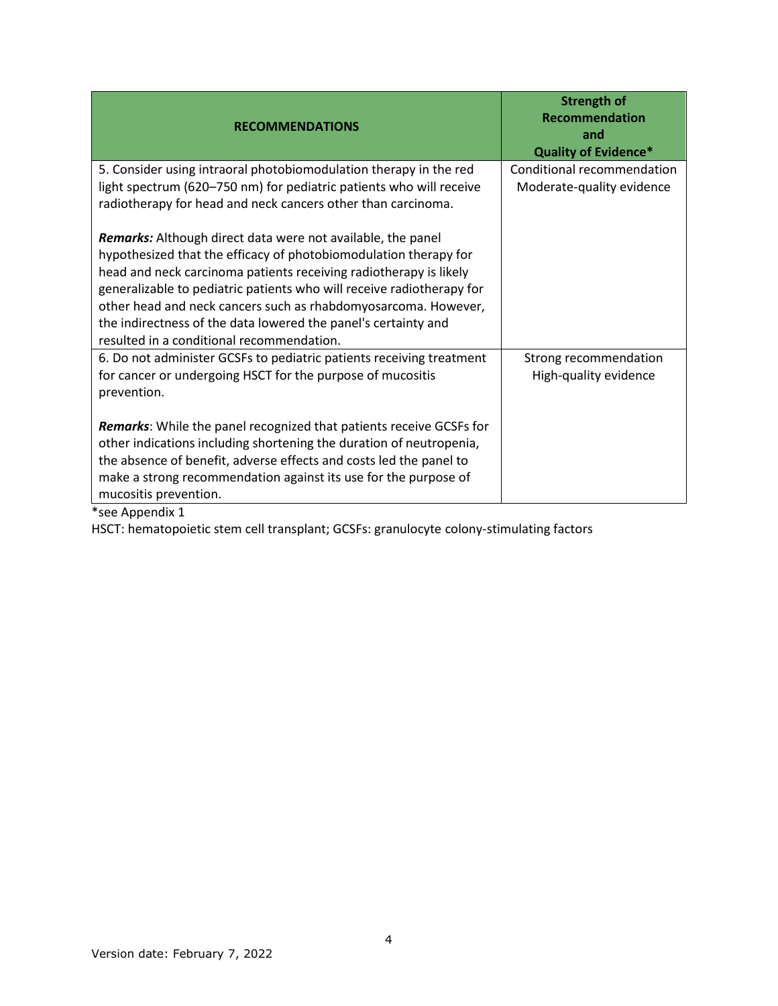| <b>RECOMMENDATIONS</b>                                                                                                                                                                                                                                                                                                                                                                                                                                         | <b>Strength of</b><br><b>Recommendation</b><br>and<br><b>Quality of Evidence*</b> |
|----------------------------------------------------------------------------------------------------------------------------------------------------------------------------------------------------------------------------------------------------------------------------------------------------------------------------------------------------------------------------------------------------------------------------------------------------------------|-----------------------------------------------------------------------------------|
| 5. Consider using intraoral photobiomodulation therapy in the red<br>light spectrum (620-750 nm) for pediatric patients who will receive<br>radiotherapy for head and neck cancers other than carcinoma.                                                                                                                                                                                                                                                       | Conditional recommendation<br>Moderate-quality evidence                           |
| Remarks: Although direct data were not available, the panel<br>hypothesized that the efficacy of photobiomodulation therapy for<br>head and neck carcinoma patients receiving radiotherapy is likely<br>generalizable to pediatric patients who will receive radiotherapy for<br>other head and neck cancers such as rhabdomyosarcoma. However,<br>the indirectness of the data lowered the panel's certainty and<br>resulted in a conditional recommendation. |                                                                                   |
| 6. Do not administer GCSFs to pediatric patients receiving treatment<br>for cancer or undergoing HSCT for the purpose of mucositis<br>prevention.                                                                                                                                                                                                                                                                                                              | Strong recommendation<br>High-quality evidence                                    |
| <b>Remarks:</b> While the panel recognized that patients receive GCSFs for<br>other indications including shortening the duration of neutropenia,<br>the absence of benefit, adverse effects and costs led the panel to<br>make a strong recommendation against its use for the purpose of<br>mucositis prevention.<br>*see Appendix 1                                                                                                                         |                                                                                   |

HSCT: hematopoietic stem cell transplant; GCSFs: granulocyte colony-stimulating factors